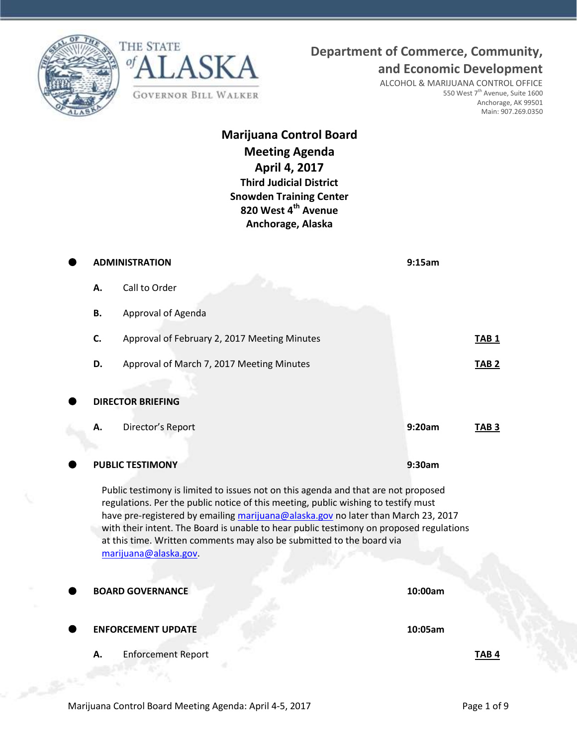





**and Economic Development** ALCOHOL & MARIJUANA CONTROL OFFICE 550 West 7<sup>th</sup> Avenue, Suite 1600 Anchorage, AK 99501 Main: 907.269.0350

## **Marijuana Control Board Meeting Agenda April 4, 2017 Third Judicial District Snowden Training Center 820 West 4th Avenue Anchorage, Alaska**

| <b>ADMINISTRATION</b>                                                                                                                                                                                                                                                                                                                                                                                                                                     |                                              | 9:15am  |                  |  |
|-----------------------------------------------------------------------------------------------------------------------------------------------------------------------------------------------------------------------------------------------------------------------------------------------------------------------------------------------------------------------------------------------------------------------------------------------------------|----------------------------------------------|---------|------------------|--|
| Α.                                                                                                                                                                                                                                                                                                                                                                                                                                                        | Call to Order                                |         |                  |  |
| Β.                                                                                                                                                                                                                                                                                                                                                                                                                                                        | Approval of Agenda                           |         |                  |  |
| C.                                                                                                                                                                                                                                                                                                                                                                                                                                                        | Approval of February 2, 2017 Meeting Minutes |         | TAB <sub>1</sub> |  |
| D.                                                                                                                                                                                                                                                                                                                                                                                                                                                        | Approval of March 7, 2017 Meeting Minutes    |         | TAB <sub>2</sub> |  |
|                                                                                                                                                                                                                                                                                                                                                                                                                                                           | <b>DIRECTOR BRIEFING</b>                     |         |                  |  |
| А.                                                                                                                                                                                                                                                                                                                                                                                                                                                        | Director's Report                            | 9:20am  | TAB <sub>3</sub> |  |
|                                                                                                                                                                                                                                                                                                                                                                                                                                                           |                                              |         |                  |  |
|                                                                                                                                                                                                                                                                                                                                                                                                                                                           | <b>PUBLIC TESTIMONY</b>                      | 9:30am  |                  |  |
| Public testimony is limited to issues not on this agenda and that are not proposed<br>regulations. Per the public notice of this meeting, public wishing to testify must<br>have pre-registered by emailing marijuana@alaska.gov no later than March 23, 2017<br>with their intent. The Board is unable to hear public testimony on proposed regulations<br>at this time. Written comments may also be submitted to the board via<br>marijuana@alaska.gov |                                              |         |                  |  |
|                                                                                                                                                                                                                                                                                                                                                                                                                                                           | <b>BOARD GOVERNANCE</b>                      | 10:00am |                  |  |
|                                                                                                                                                                                                                                                                                                                                                                                                                                                           | <b>ENFORCEMENT UPDATE</b>                    | 10:05am |                  |  |
| А.                                                                                                                                                                                                                                                                                                                                                                                                                                                        | <b>Enforcement Report</b>                    |         | TAB 4            |  |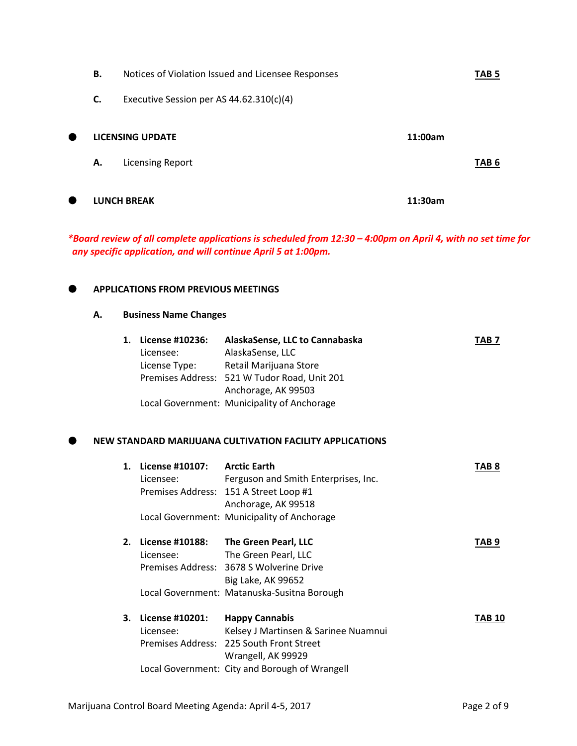|   | В. | Notices of Violation Issued and Licensee Responses |         | TAB 5            |
|---|----|----------------------------------------------------|---------|------------------|
|   | C. | Executive Session per AS $44.62.310(c)(4)$         |         |                  |
| ● |    | LICENSING UPDATE                                   | 11:00am |                  |
|   | А. | <b>Licensing Report</b>                            |         | TAB <sub>6</sub> |
| 0 |    | <b>LUNCH BREAK</b>                                 | 11:30am |                  |

*\*Board review of all complete applications is scheduled from 12:30 – 4:00pm on April 4, with no set time for any specific application, and will continue April 5 at 1:00pm.*

## **APPLICATIONS FROM PREVIOUS MEETINGS**

## **A. Business Name Changes**

| 1. | License #10236:<br>Licensee:<br>License Type: | AlaskaSense, LLC to Cannabaska<br>AlaskaSense, LLC<br>Retail Marijuana Store<br>Premises Address: 521 W Tudor Road, Unit 201<br>Anchorage, AK 99503<br>Local Government: Municipality of Anchorage | TAB 7            |
|----|-----------------------------------------------|----------------------------------------------------------------------------------------------------------------------------------------------------------------------------------------------------|------------------|
|    |                                               | NEW STANDARD MARIJUANA CULTIVATION FACILITY APPLICATIONS                                                                                                                                           |                  |
|    | 1. License #10107: Arctic Earth<br>Licensee:  | Ferguson and Smith Enterprises, Inc.<br>Premises Address: 151 A Street Loop #1<br>Anchorage, AK 99518                                                                                              | TAB <sub>8</sub> |
|    |                                               | Local Government: Municipality of Anchorage                                                                                                                                                        |                  |
|    | Licensee:                                     | 2. License #10188: The Green Pearl, LLC<br>The Green Pearl, LLC<br>Premises Address: 3678 S Wolverine Drive<br>Big Lake, AK 99652                                                                  | TAB <sub>9</sub> |
|    |                                               | Local Government: Matanuska-Susitna Borough                                                                                                                                                        |                  |
| 3. | License #10201:<br>Licensee:                  | <b>Happy Cannabis</b><br>Kelsey J Martinsen & Sarinee Nuamnui<br>Premises Address: 225 South Front Street<br>Wrangell, AK 99929                                                                    | <b>TAB 10</b>    |
|    |                                               | Local Government: City and Borough of Wrangell                                                                                                                                                     |                  |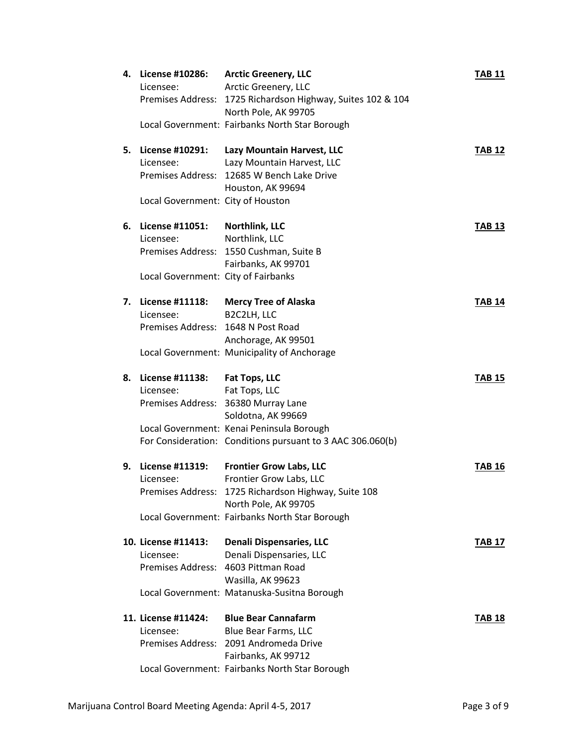| 4. | License #10286:                     | <b>Arctic Greenery, LLC</b>                                           | <b>TAB 11</b> |
|----|-------------------------------------|-----------------------------------------------------------------------|---------------|
|    | Licensee:                           | Arctic Greenery, LLC                                                  |               |
|    |                                     | Premises Address: 1725 Richardson Highway, Suites 102 & 104           |               |
|    |                                     | North Pole, AK 99705                                                  |               |
|    |                                     | Local Government: Fairbanks North Star Borough                        |               |
|    |                                     |                                                                       |               |
| 5. | License #10291:                     | Lazy Mountain Harvest, LLC                                            | <b>TAB 12</b> |
|    | Licensee:                           | Lazy Mountain Harvest, LLC                                            |               |
|    |                                     | Premises Address: 12685 W Bench Lake Drive                            |               |
|    |                                     | Houston, AK 99694                                                     |               |
|    | Local Government: City of Houston   |                                                                       |               |
|    |                                     |                                                                       |               |
| 6. | License #11051:                     | Northlink, LLC                                                        | <b>TAB 13</b> |
|    | Licensee:                           | Northlink, LLC                                                        |               |
|    |                                     | Premises Address: 1550 Cushman, Suite B                               |               |
|    |                                     | Fairbanks, AK 99701                                                   |               |
|    | Local Government: City of Fairbanks |                                                                       |               |
|    |                                     |                                                                       |               |
| 7. | License #11118:                     | <b>Mercy Tree of Alaska</b>                                           | <b>TAB 14</b> |
|    | Licensee:                           | B2C2LH, LLC                                                           |               |
|    | Premises Address: 1648 N Post Road  |                                                                       |               |
|    |                                     | Anchorage, AK 99501                                                   |               |
|    |                                     | Local Government: Municipality of Anchorage                           |               |
|    |                                     |                                                                       |               |
| 8. | License #11138:                     | Fat Tops, LLC                                                         | <b>TAB 15</b> |
|    |                                     | Fat Tops, LLC                                                         |               |
|    |                                     |                                                                       |               |
|    | Licensee:                           |                                                                       |               |
|    |                                     | Premises Address: 36380 Murray Lane                                   |               |
|    |                                     | Soldotna, AK 99669                                                    |               |
|    |                                     | Local Government: Kenai Peninsula Borough                             |               |
|    |                                     | For Consideration: Conditions pursuant to 3 AAC 306.060(b)            |               |
|    |                                     |                                                                       |               |
| 9. | License #11319:                     | <b>Frontier Grow Labs, LLC</b>                                        | <b>TAB 16</b> |
|    | Licensee:                           | Frontier Grow Labs, LLC                                               |               |
|    |                                     | Premises Address: 1725 Richardson Highway, Suite 108                  |               |
|    |                                     | North Pole, AK 99705                                                  |               |
|    |                                     | Local Government: Fairbanks North Star Borough                        |               |
|    |                                     |                                                                       |               |
|    | 10. License #11413:                 | <b>Denali Dispensaries, LLC</b>                                       | <b>TAB 17</b> |
|    | Licensee:                           | Denali Dispensaries, LLC                                              |               |
|    |                                     | Premises Address: 4603 Pittman Road                                   |               |
|    |                                     | Wasilla, AK 99623                                                     |               |
|    |                                     | Local Government: Matanuska-Susitna Borough                           |               |
|    |                                     | <b>Blue Bear Cannafarm</b>                                            |               |
|    | 11. License #11424:                 |                                                                       | <b>TAB 18</b> |
|    | Licensee:                           | Blue Bear Farms, LLC                                                  |               |
|    |                                     | Premises Address: 2091 Andromeda Drive                                |               |
|    |                                     | Fairbanks, AK 99712<br>Local Government: Fairbanks North Star Borough |               |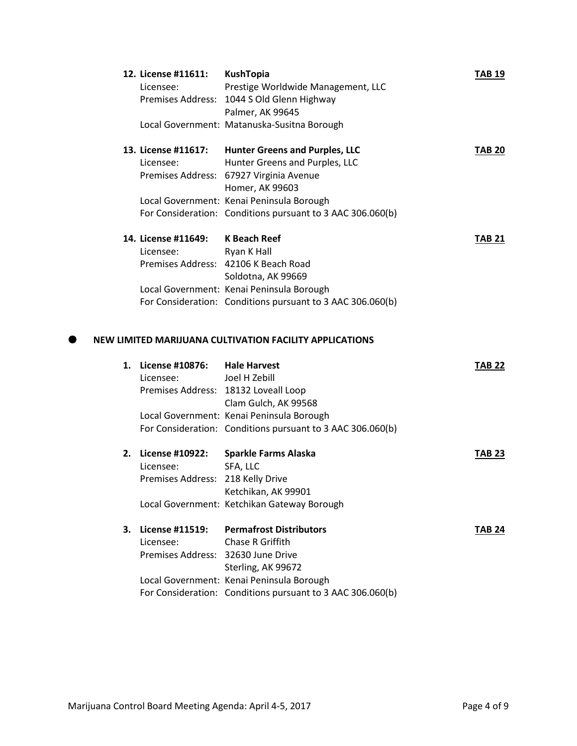| 12. License #11611: | <b>KushTopia</b>                                           | TAB 19        |
|---------------------|------------------------------------------------------------|---------------|
| Licensee:           | Prestige Worldwide Management, LLC                         |               |
|                     | Premises Address: 1044 S Old Glenn Highway                 |               |
|                     | Palmer, AK 99645                                           |               |
|                     | Local Government: Matanuska-Susitna Borough                |               |
| 13. License #11617: | <b>Hunter Greens and Purples, LLC</b>                      | <b>TAB 20</b> |
| Licensee:           | Hunter Greens and Purples, LLC                             |               |
|                     | Premises Address: 67927 Virginia Avenue                    |               |
|                     | Homer, AK 99603                                            |               |
|                     | Local Government: Kenai Peninsula Borough                  |               |
|                     | For Consideration: Conditions pursuant to 3 AAC 306.060(b) |               |
| 14. License #11649: | <b>K Beach Reef</b>                                        | <b>TAB 21</b> |
| Licensee:           | Ryan K Hall                                                |               |
|                     | Premises Address: 42106 K Beach Road                       |               |
|                     | Soldotna, AK 99669                                         |               |
|                     | Local Government: Kenai Peninsula Borough                  |               |
|                     | For Consideration: Conditions pursuant to 3 AAC 306.060(b) |               |

## **NEW LIMITED MARIJUANA CULTIVATION FACILITY APPLICATIONS**

| 1. | License #10876:                    | <b>Hale Harvest</b>                                        | TAB 22        |
|----|------------------------------------|------------------------------------------------------------|---------------|
|    | Licensee:                          | Joel H Zebill                                              |               |
|    |                                    | Premises Address: 18132 Loveall Loop                       |               |
|    |                                    | Clam Gulch, AK 99568                                       |               |
|    |                                    | Local Government: Kenai Peninsula Borough                  |               |
|    |                                    | For Consideration: Conditions pursuant to 3 AAC 306.060(b) |               |
| 2. | <b>License #10922:</b>             | <b>Sparkle Farms Alaska</b>                                | <b>TAB 23</b> |
|    | Licensee:                          | SFA, LLC                                                   |               |
|    | Premises Address: 218 Kelly Drive  |                                                            |               |
|    |                                    | Ketchikan, AK 99901                                        |               |
|    |                                    | Local Government: Ketchikan Gateway Borough                |               |
| 3. | License #11519:                    | <b>Permafrost Distributors</b>                             | <b>TAB 24</b> |
|    | Licensee:                          | Chase R Griffith                                           |               |
|    | Premises Address: 32630 June Drive |                                                            |               |
|    |                                    | Sterling, AK 99672                                         |               |
|    |                                    | Local Government: Kenai Peninsula Borough                  |               |
|    |                                    | For Consideration: Conditions pursuant to 3 AAC 306.060(b) |               |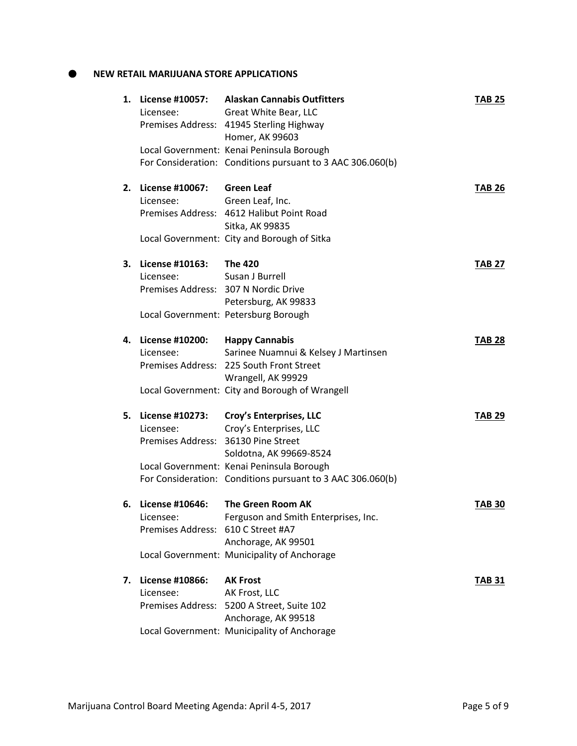**NEW RETAIL MARIJUANA STORE APPLICATIONS** 

| 1. | Licensee:                                                          | License #10057: Alaskan Cannabis Outfitters<br>Great White Bear, LLC<br>Premises Address: 41945 Sterling Highway<br>Homer, AK 99603                                                                      | TAB 25        |
|----|--------------------------------------------------------------------|----------------------------------------------------------------------------------------------------------------------------------------------------------------------------------------------------------|---------------|
|    |                                                                    | Local Government: Kenai Peninsula Borough<br>For Consideration: Conditions pursuant to 3 AAC 306.060(b)                                                                                                  |               |
| 2. | License #10067:<br>Licensee:                                       | <b>Green Leaf</b><br>Green Leaf, Inc.<br>Premises Address: 4612 Halibut Point Road<br>Sitka, AK 99835<br>Local Government: City and Borough of Sitka                                                     | <b>TAB 26</b> |
| 3. | License #10163: The 420<br>Licensee:                               | Susan J Burrell<br>Premises Address: 307 N Nordic Drive<br>Petersburg, AK 99833<br>Local Government: Petersburg Borough                                                                                  | <b>TAB 27</b> |
| 4. | License #10200: Happy Cannabis<br>Licensee:                        | Sarinee Nuamnui & Kelsey J Martinsen<br>Premises Address: 225 South Front Street<br>Wrangell, AK 99929<br>Local Government: City and Borough of Wrangell                                                 | <b>TAB 28</b> |
| 5. | Licensee:<br>Premises Address: 36130 Pine Street                   | License #10273: Croy's Enterprises, LLC<br>Croy's Enterprises, LLC<br>Soldotna, AK 99669-8524<br>Local Government: Kenai Peninsula Borough<br>For Consideration: Conditions pursuant to 3 AAC 306.060(b) | <b>TAB 29</b> |
| 6. | License #10646:<br>Licensee:<br>Premises Address: 610 C Street #A7 | The Green Room AK<br>Ferguson and Smith Enterprises, Inc.<br>Anchorage, AK 99501<br>Local Government: Municipality of Anchorage                                                                          | <b>TAB 30</b> |
| 7. | License #10866:<br>Licensee:                                       | <b>AK Frost</b><br>AK Frost, LLC<br>Premises Address: 5200 A Street, Suite 102<br>Anchorage, AK 99518<br>Local Government: Municipality of Anchorage                                                     | <b>TAB 31</b> |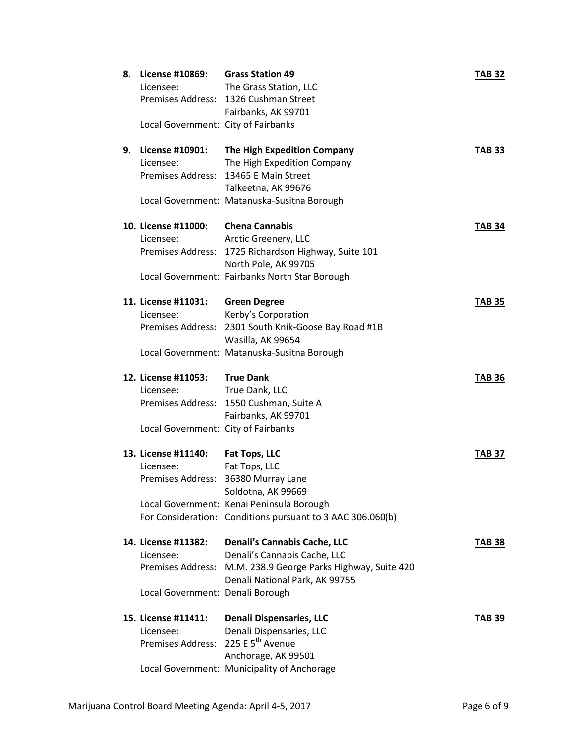| The Grass Station, LLC<br>Licensee:<br>Premises Address: 1326 Cushman Street<br>Fairbanks, AK 99701 |                                            |
|-----------------------------------------------------------------------------------------------------|--------------------------------------------|
|                                                                                                     |                                            |
|                                                                                                     |                                            |
|                                                                                                     |                                            |
| Local Government: City of Fairbanks                                                                 |                                            |
| License #10901:<br>The High Expedition Company<br>9.                                                | <b>TAB 33</b>                              |
| Licensee:<br>The High Expedition Company                                                            |                                            |
| Premises Address: 13465 E Main Street                                                               |                                            |
| Talkeetna, AK 99676                                                                                 |                                            |
| Local Government: Matanuska-Susitna Borough                                                         |                                            |
| 10. License #11000:<br><b>Chena Cannabis</b>                                                        | <b>TAB 34</b>                              |
| Arctic Greenery, LLC<br>Licensee:                                                                   |                                            |
| Premises Address: 1725 Richardson Highway, Suite 101                                                |                                            |
| North Pole, AK 99705                                                                                |                                            |
| Local Government: Fairbanks North Star Borough                                                      |                                            |
| 11. License #11031:<br><b>Green Degree</b>                                                          | <b>TAB 35</b>                              |
| Kerby's Corporation<br>Licensee:                                                                    |                                            |
| Premises Address: 2301 South Knik-Goose Bay Road #1B                                                |                                            |
| Wasilla, AK 99654                                                                                   |                                            |
|                                                                                                     |                                            |
| Local Government: Matanuska-Susitna Borough                                                         |                                            |
| 12. License #11053:<br><b>True Dank</b>                                                             | <b>TAB 36</b>                              |
| True Dank, LLC<br>Licensee:                                                                         |                                            |
| Premises Address: 1550 Cushman, Suite A                                                             |                                            |
| Fairbanks, AK 99701                                                                                 |                                            |
| Local Government: City of Fairbanks                                                                 |                                            |
| 13. License #11140:<br>Fat Tops, LLC                                                                | <b>TAB 37</b>                              |
| Licensee:<br>Fat Tops, LLC                                                                          |                                            |
| Premises Address: 36380 Murray Lane                                                                 |                                            |
| Soldotna, AK 99669                                                                                  |                                            |
| Local Government: Kenai Peninsula Borough                                                           |                                            |
| For Consideration: Conditions pursuant to 3 AAC 306.060(b)                                          |                                            |
| 14. License #11382:<br>Denali's Cannabis Cache, LLC                                                 | <b>TAB 38</b>                              |
| Denali's Cannabis Cache, LLC<br>Licensee:                                                           |                                            |
| <b>Premises Address:</b>                                                                            | M.M. 238.9 George Parks Highway, Suite 420 |
| Denali National Park, AK 99755                                                                      |                                            |
| Local Government: Denali Borough                                                                    |                                            |
| 15. License #11411:<br><b>Denali Dispensaries, LLC</b>                                              | <b>TAB 39</b>                              |
| Denali Dispensaries, LLC<br>Licensee:                                                               |                                            |
| Premises Address: 225 E 5 <sup>th</sup> Avenue                                                      |                                            |
| Anchorage, AK 99501                                                                                 |                                            |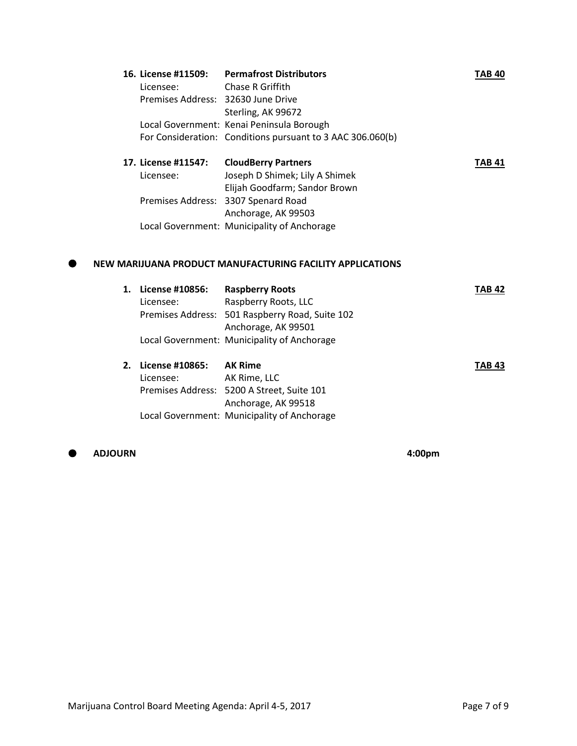|                                    | 16. License #11509: Permafrost Distributors                                         | TAB 40 |
|------------------------------------|-------------------------------------------------------------------------------------|--------|
| Licensee:                          | Chase R Griffith                                                                    |        |
| Premises Address: 32630 June Drive |                                                                                     |        |
|                                    | Sterling, AK 99672                                                                  |        |
|                                    | Local Government: Kenai Peninsula Borough                                           |        |
|                                    | For Consideration: Conditions pursuant to 3 AAC 306.060(b)                          |        |
| 17. License #11547:                | <b>CloudBerry Partners</b>                                                          | TAB 41 |
| Licensee:                          | Joseph D Shimek; Lily A Shimek                                                      |        |
|                                    | Elijah Goodfarm; Sandor Brown                                                       |        |
|                                    | Premises Address: 3307 Spenard Road                                                 |        |
|                                    | Anchorage, AK 99503                                                                 |        |
|                                    |                                                                                     |        |
|                                    | Local Government: Municipality of Anchorage                                         |        |
| 1. License #10856:                 | NEW MARIJUANA PRODUCT MANUFACTURING FACILITY APPLICATIONS<br><b>Raspberry Roots</b> | TAB 42 |
| Licensee:                          | Raspberry Roots, LLC                                                                |        |
|                                    | Premises Address: 501 Raspberry Road, Suite 102<br>Anchorage, AK 99501              |        |

| 2. License #10865: | <b>AK Rime</b>                              | <b>TAB 43</b> |
|--------------------|---------------------------------------------|---------------|
| Licensee:          | AK Rime, LLC                                |               |
|                    | Premises Address: 5200 A Street, Suite 101  |               |
|                    | Anchorage, AK 99518                         |               |
|                    | Local Government: Municipality of Anchorage |               |

**ADJOURN 4:00pm**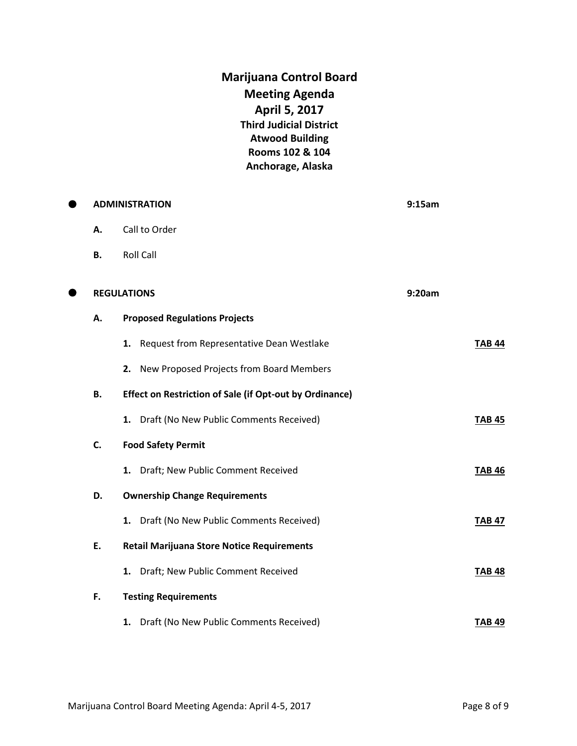**Marijuana Control Board Meeting Agenda April 5, 2017 Third Judicial District Atwood Building Rooms 102 & 104 Anchorage, Alaska**

| 0 |    | <b>ADMINISTRATION</b>                                          | 9:15am        |
|---|----|----------------------------------------------------------------|---------------|
|   | А. | Call to Order                                                  |               |
|   | В. | <b>Roll Call</b>                                               |               |
| 8 |    | <b>REGULATIONS</b>                                             | 9:20am        |
|   | А. | <b>Proposed Regulations Projects</b>                           |               |
|   |    | 1. Request from Representative Dean Westlake                   | <b>TAB 44</b> |
|   |    | New Proposed Projects from Board Members<br>2.                 |               |
|   | В. | <b>Effect on Restriction of Sale (if Opt-out by Ordinance)</b> |               |
|   |    | 1. Draft (No New Public Comments Received)                     | <b>TAB 45</b> |
|   | C. | <b>Food Safety Permit</b>                                      |               |
|   |    | 1. Draft; New Public Comment Received                          | <b>TAB 46</b> |
|   | D. | <b>Ownership Change Requirements</b>                           |               |
|   |    | 1. Draft (No New Public Comments Received)                     | <b>TAB 47</b> |
|   | E. | <b>Retail Marijuana Store Notice Requirements</b>              |               |
|   |    | 1. Draft; New Public Comment Received                          | <b>TAB 48</b> |
|   | F. | <b>Testing Requirements</b>                                    |               |
|   |    | Draft (No New Public Comments Received)<br>1.                  | <b>TAB 49</b> |